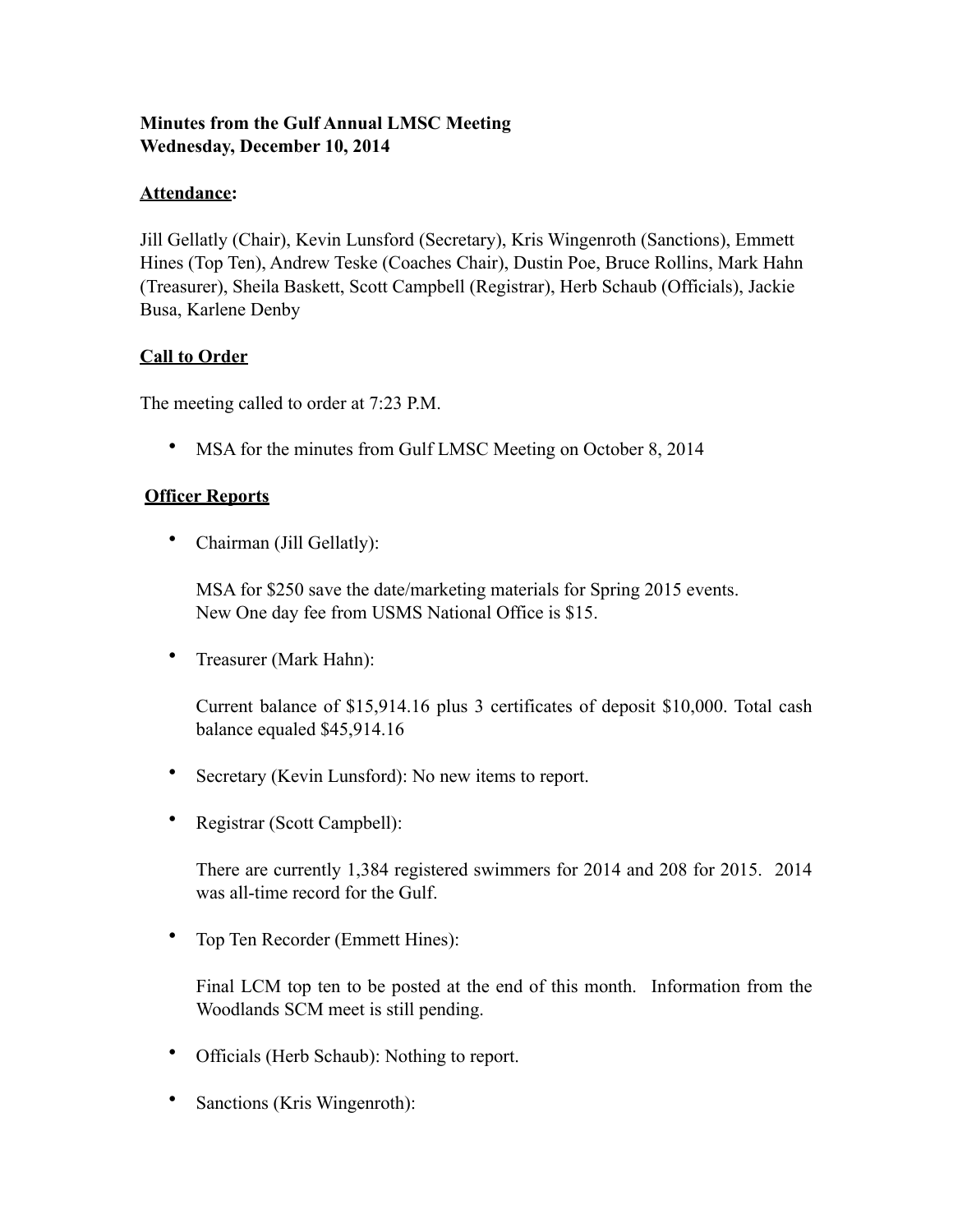# **Minutes from the Gulf Annual LMSC Meeting Wednesday, December 10, 2014**

## **Attendance:**

Jill Gellatly (Chair), Kevin Lunsford (Secretary), Kris Wingenroth (Sanctions), Emmett Hines (Top Ten), Andrew Teske (Coaches Chair), Dustin Poe, Bruce Rollins, Mark Hahn (Treasurer), Sheila Baskett, Scott Campbell (Registrar), Herb Schaub (Officials), Jackie Busa, Karlene Denby

## **Call to Order**

The meeting called to order at 7:23 P.M.

• MSA for the minutes from Gulf LMSC Meeting on October 8, 2014

## **Officer Reports**

• Chairman (Jill Gellatly):

MSA for \$250 save the date/marketing materials for Spring 2015 events. New One day fee from USMS National Office is \$15.

• Treasurer (Mark Hahn):

Current balance of \$15,914.16 plus 3 certificates of deposit \$10,000. Total cash balance equaled \$45,914.16

- Secretary (Kevin Lunsford): No new items to report.
- Registrar (Scott Campbell):

There are currently 1,384 registered swimmers for 2014 and 208 for 2015. 2014 was all-time record for the Gulf.

• Top Ten Recorder (Emmett Hines):

Final LCM top ten to be posted at the end of this month. Information from the Woodlands SCM meet is still pending.

- Officials (Herb Schaub): Nothing to report.
- Sanctions (Kris Wingenroth):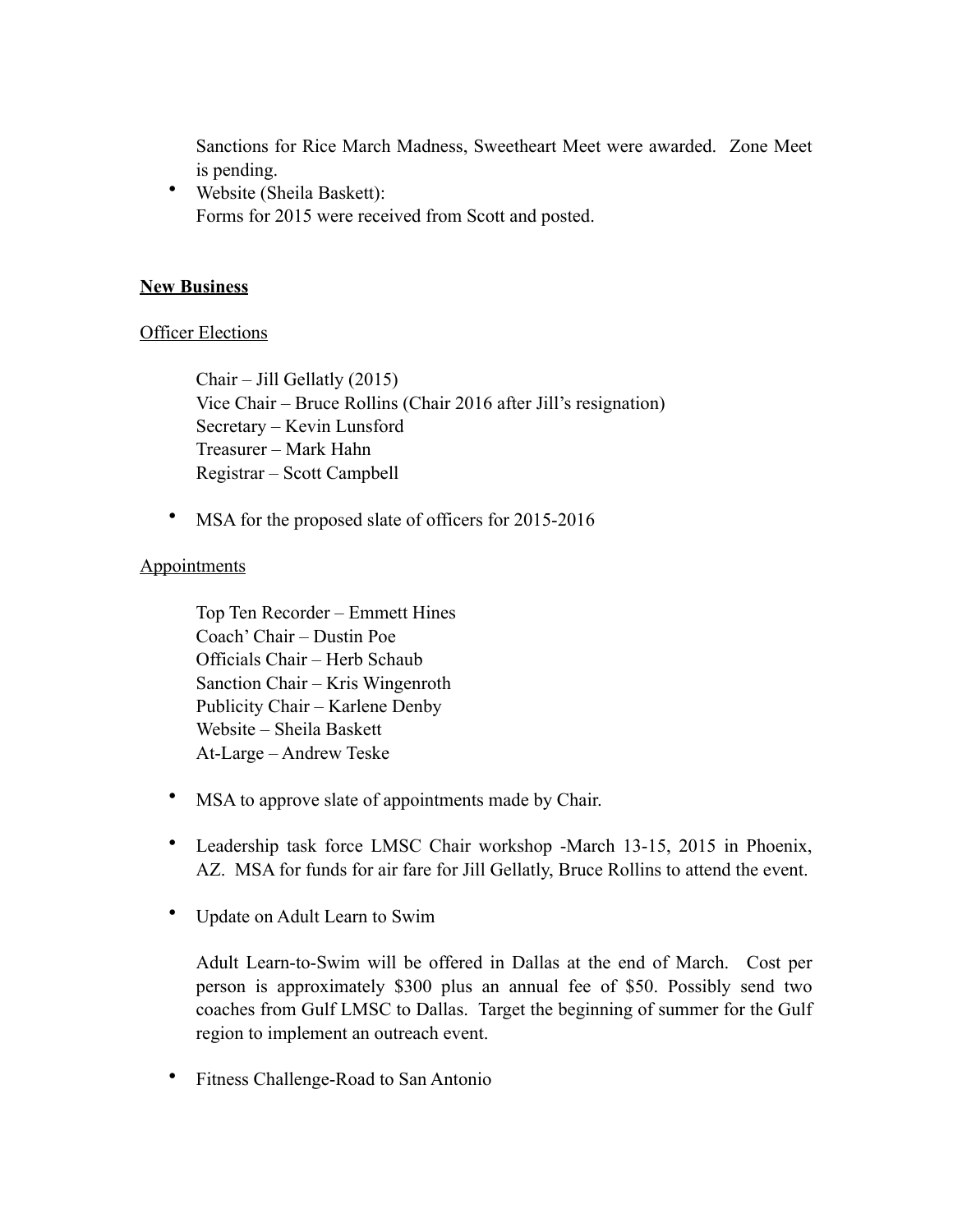Sanctions for Rice March Madness, Sweetheart Meet were awarded. Zone Meet is pending.

• Website (Sheila Baskett): Forms for 2015 were received from Scott and posted.

### **New Business**

#### **Officer Elections**

Chair – Jill Gellatly (2015) Vice Chair – Bruce Rollins (Chair 2016 after Jill's resignation) Secretary – Kevin Lunsford Treasurer – Mark Hahn Registrar – Scott Campbell

• MSA for the proposed slate of officers for 2015-2016

### **Appointments**

Top Ten Recorder – Emmett Hines Coach' Chair – Dustin Poe Officials Chair – Herb Schaub Sanction Chair – Kris Wingenroth Publicity Chair – Karlene Denby Website – Sheila Baskett At-Large – Andrew Teske

- MSA to approve slate of appointments made by Chair.
- Leadership task force LMSC Chair workshop -March 13-15, 2015 in Phoenix, AZ. MSA for funds for air fare for Jill Gellatly, Bruce Rollins to attend the event.
- Update on Adult Learn to Swim

Adult Learn-to-Swim will be offered in Dallas at the end of March. Cost per person is approximately \$300 plus an annual fee of \$50. Possibly send two coaches from Gulf LMSC to Dallas. Target the beginning of summer for the Gulf region to implement an outreach event.

• Fitness Challenge-Road to San Antonio